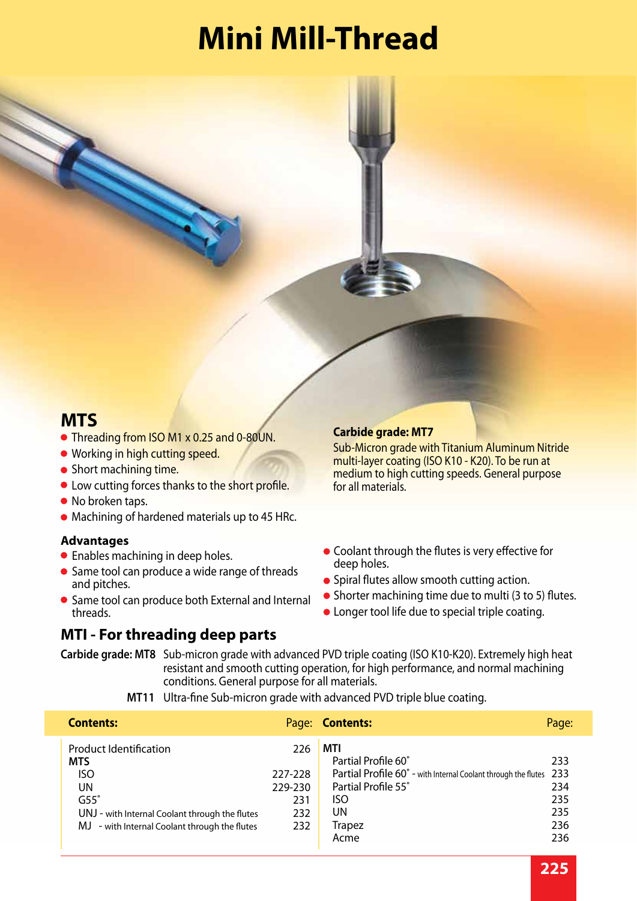# **Mini Mill-Thread**

#### **MTS**

- Threading from ISO M1 x 0.25 and 0-80UN.
- **Working in high cutting speed.**
- Short machining time.
- **Low cutting forces thanks to the short profile.**
- No broken taps.
- Machining of hardened materials up to 45 HRc.

#### **Advantages**

- Enables machining in deep holes.
- **Same tool can produce a wide range of threads** and pitches.
- Same tool can produce both External and Internal threads.

#### **MTI - For threading deep parts**

#### **Carbide grade: MT7**

Sub-Micron grade with Titanium Aluminum Nitride multi-layer coating (ISO K10 - K20). To be run at medium to high cutting speeds. General purpose for all materials.

- Coolant through the flutes is very effective for deep holes.
- **•** Spiral flutes allow smooth cutting action.
- Shorter machining time due to multi (3 to 5) flutes.
- Longer tool life due to special triple coating.

**Carbide grade: MT8** Sub-micron grade with advanced PVD triple coating (ISO K10-K20). Extremely high heat resistant and smooth cutting operation, for high performance, and normal machining conditions. General purpose for all materials.

**MT11** Ultra-fine Sub-micron grade with advanced PVD triple blue coating.

| <b>Contents:</b>                                                                                                                                                                  |                                                | Page: <b>Contents:</b>                                                                                                                                         | Page:                                  |
|-----------------------------------------------------------------------------------------------------------------------------------------------------------------------------------|------------------------------------------------|----------------------------------------------------------------------------------------------------------------------------------------------------------------|----------------------------------------|
| <b>Product Identification</b><br><b>MTS</b><br><b>ISO</b><br>UN<br>$G55^\circ$<br>UNJ - with Internal Coolant through the flutes<br>MJ - with Internal Coolant through the flutes | 226<br>227-228<br>229-230<br>231<br>232<br>232 | MTI<br>Partial Profile 60°<br>Partial Profile 60° - with Internal Coolant through the flutes 233<br>Partial Profile 55°<br>ISO.<br>UN<br><b>Trapez</b><br>Acme | 233<br>234<br>235<br>235<br>236<br>236 |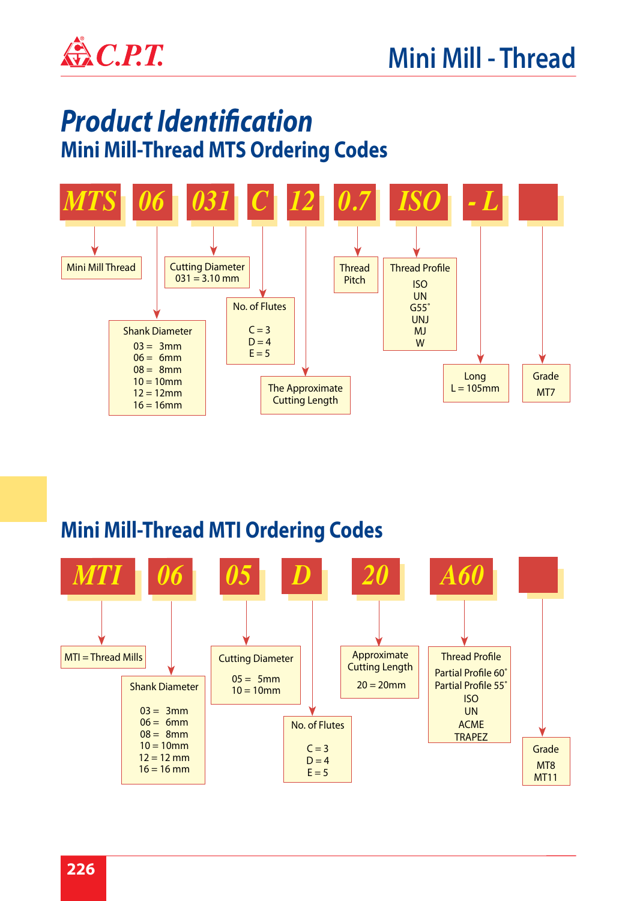

# *Product Identification* **Mini Mill-Thread MTS Ordering Codes**



## **Mini Mill-Thread MTI Ordering Codes**

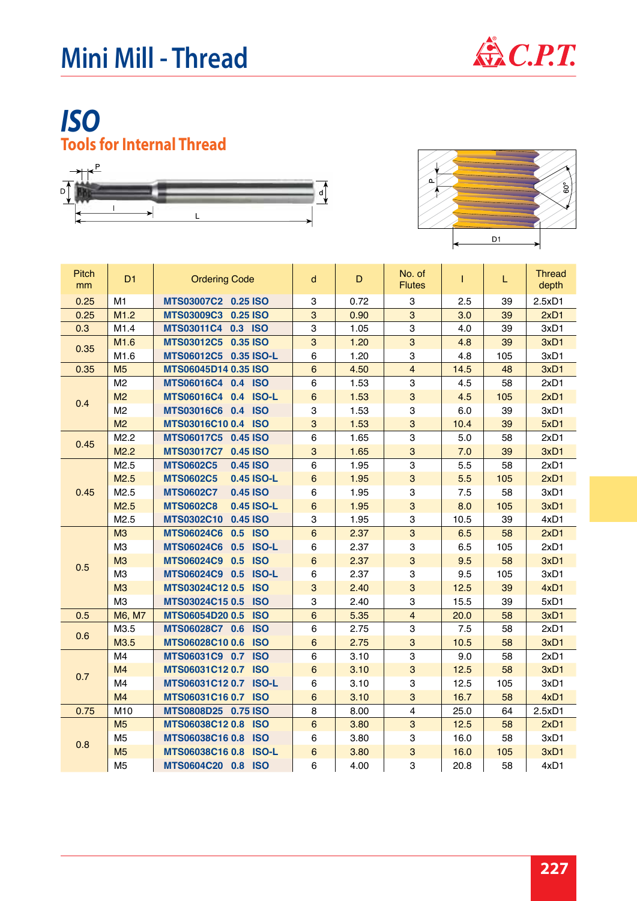

## *ISO* **Tools for Internal Thread**





| <b>Pitch</b><br>mm | D <sub>1</sub> | <b>Ordering Code</b>           | d                | $\mathsf D$ | No. of<br><b>Flutes</b> | T    | L   | <b>Thread</b><br>depth |
|--------------------|----------------|--------------------------------|------------------|-------------|-------------------------|------|-----|------------------------|
| 0.25               | M <sub>1</sub> | MTS03007C2 0.25 ISO            | 3                | 0.72        | 3                       | 2.5  | 39  | 2.5xD1                 |
| 0.25               | M1.2           | MTS03009C3 0.25 ISO            | 3                | 0.90        | 3                       | 3.0  | 39  | 2xD1                   |
| 0.3                | M1.4           | MTS03011C4 0.3 ISO             | 3                | 1.05        | 3                       | 4.0  | 39  | 3xD1                   |
| 0.35               | M1.6           | MTS03012C5 0.35 ISO            | 3                | 1.20        | $\mathbf{3}$            | 4.8  | 39  | 3xD1                   |
|                    | M1.6           | MTS06012C5 0.35 ISO-L          | 6                | 1.20        | 3                       | 4.8  | 105 | 3xD1                   |
| 0.35               | M <sub>5</sub> | <b>MTS06045D14 0.35 ISO</b>    | $\boldsymbol{6}$ | 4.50        | $\overline{4}$          | 14.5 | 48  | 3xD1                   |
|                    | M <sub>2</sub> | MTS06016C4 0.4 ISO             | 6                | 1.53        | 3                       | 4.5  | 58  | 2xD1                   |
| 0.4                | M <sub>2</sub> | <b>MTS06016C4</b><br>0.4 ISO-L | $6\phantom{1}$   | 1.53        | 3                       | 4.5  | 105 | 2xD1                   |
|                    | M <sub>2</sub> | MTS03016C6 0.4 ISO             | 3                | 1.53        | 3                       | 6.0  | 39  | 3xD1                   |
|                    | M <sub>2</sub> | MTS03016C10 0.4 ISO            | $\mathbf{3}$     | 1.53        | 3                       | 10.4 | 39  | 5xD1                   |
| 0.45               | M2.2           | MTS06017C5 0.45 ISO            | 6                | 1.65        | 3                       | 5.0  | 58  | 2xD1                   |
|                    | M2.2           | <b>MTS03017C7</b><br>0.45 ISO  | 3                | 1.65        | 3                       | 7.0  | 39  | 3xD1                   |
|                    | M2.5           | <b>MTS0602C5</b><br>0.45 ISO   | 6                | 1.95        | $\mathsf 3$             | 5.5  | 58  | 2xD1                   |
|                    | M2.5           | <b>MTS0602C5</b><br>0.45 ISO-L | $\boldsymbol{6}$ | 1.95        | 3                       | 5.5  | 105 | 2xD1                   |
| 0.45               | M2.5           | <b>MTS0602C7</b><br>0.45 ISO   | 6                | 1.95        | 3                       | 7.5  | 58  | 3xD1                   |
|                    | M2.5           | <b>MTS0602C8</b><br>0.45 ISO-L | $6\phantom{1}$   | 1.95        | 3                       | 8.0  | 105 | 3xD1                   |
|                    | M2.5           | <b>MTS0302C10</b><br>0.45 ISO  | 3                | 1.95        | 3                       | 10.5 | 39  | 4xD1                   |
|                    | M3             | 0.5 ISO<br><b>MTS06024C6</b>   | $6\phantom{a}$   | 2.37        | 3                       | 6.5  | 58  | 2xD1                   |
|                    | M <sub>3</sub> | <b>MTS06024C6</b><br>0.5 ISO-L | 6                | 2.37        | 3                       | 6.5  | 105 | 2xD1                   |
| 0.5                | M3             | 0.5 ISO<br><b>MTS06024C9</b>   | $\boldsymbol{6}$ | 2.37        | 3                       | 9.5  | 58  | 3xD1                   |
|                    | M <sub>3</sub> | MTS06024C9 0.5 ISO-L           | 6                | 2.37        | 3                       | 9.5  | 105 | 3xD1                   |
|                    | M3             | MTS03024C12 0.5 ISO            | 3                | 2.40        | 3                       | 12.5 | 39  | 4xD1                   |
|                    | M <sub>3</sub> | MTS03024C15 0.5 ISO            | 3                | 2.40        | 3                       | 15.5 | 39  | 5xD1                   |
| 0.5                | M6, M7         | MTS06054D20 0.5<br><b>ISO</b>  | $\,6\,$          | 5.35        | $\overline{\mathbf{4}}$ | 20.0 | 58  | 3xD1                   |
| 0.6                | M3.5           | MTS06028C7 0.6<br><b>ISO</b>   | 6                | 2.75        | 3                       | 7.5  | 58  | 2xD1                   |
|                    | M3.5           | MTS06028C10 0.6 ISO            | $\,6\,$          | 2.75        | $\overline{3}$          | 10.5 | 58  | 3xD1                   |
|                    | M4             | MTS06031C9 0.7<br><b>ISO</b>   | 6                | 3.10        | 3                       | 9.0  | 58  | 2xD1                   |
| 0.7                | M <sub>4</sub> | MTS06031C12 0.7 ISO            | $\boldsymbol{6}$ | 3.10        | $\mathbf{3}$            | 12.5 | 58  | 3xD1                   |
|                    | M4             | MTS06031C12 0.7 ISO-L          | 6                | 3.10        | 3                       | 12.5 | 105 | 3xD1                   |
|                    | M <sub>4</sub> | MTS06031C16 0.7 ISO            | $\,6\,$          | 3.10        | 3                       | 16.7 | 58  | 4xD1                   |
| 0.75               | M10            | MTS0808D25 0.75 ISO            | 8                | 8.00        | 4                       | 25.0 | 64  | 2.5xD1                 |
|                    | M <sub>5</sub> | MTS06038C12 0.8 ISO            | $\boldsymbol{6}$ | 3.80        | 3                       | 12.5 | 58  | 2xD1                   |
|                    | M <sub>5</sub> | MTS06038C16 0.8 ISO            | 6                | 3.80        | 3                       | 16.0 | 58  | 3xD1                   |
| 0.8                | M <sub>5</sub> | MTS06038C16 0.8 ISO-L          | $\,6\,$          | 3.80        | 3                       | 16.0 | 105 | 3xD1                   |
|                    | M <sub>5</sub> | MTS0604C20 0.8 ISO             | 6                | 4.00        | 3                       | 20.8 | 58  | 4xD1                   |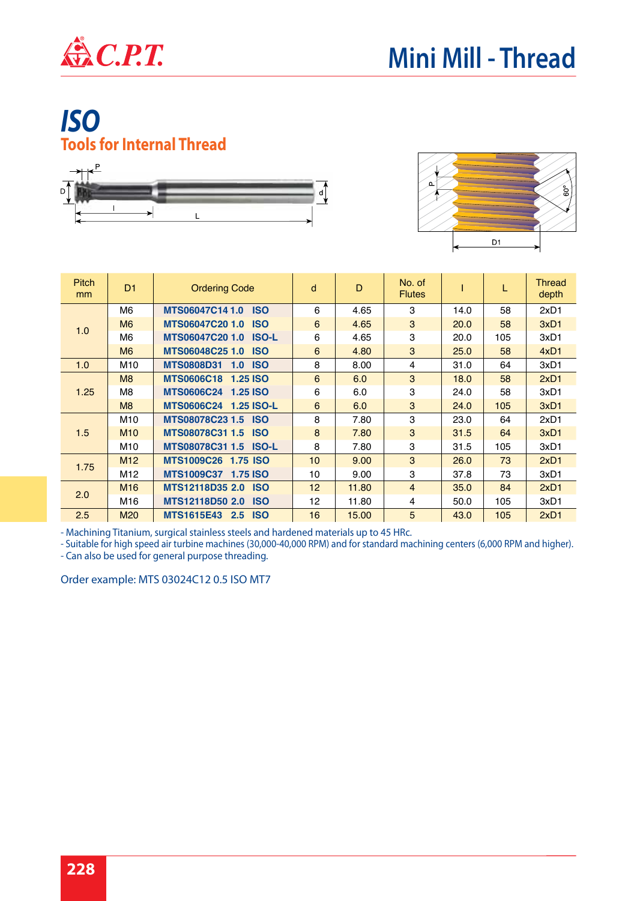

## *ISO* **Tools for Internal Thread**





| <b>Pitch</b><br>mm | D <sub>1</sub>  | <b>Ordering Code</b>                   | d               | D     | No. of<br><b>Flutes</b> |      | L   | <b>Thread</b><br>depth |
|--------------------|-----------------|----------------------------------------|-----------------|-------|-------------------------|------|-----|------------------------|
|                    | M6              | <b>MTS06047C141.0</b><br><b>ISO</b>    | 6               | 4.65  | 3                       | 14.0 | 58  | 2xD1                   |
|                    | M <sub>6</sub>  | MTS06047C20 1.0<br><b>ISO</b>          | 6               | 4.65  | 3                       | 20.0 | 58  | 3xD1                   |
| 1.0                | M6              | MTS06047C20 1.0<br><b>ISO-L</b>        | 6               | 4.65  | 3                       | 20.0 | 105 | 3xD1                   |
|                    | M <sub>6</sub>  | <b>MTS06048C25 1.0</b><br><b>ISO</b>   | 6               | 4.80  | 3                       | 25.0 | 58  | 4xD1                   |
| 1.0                | M <sub>10</sub> | <b>MTS0808D31</b><br><b>ISO</b><br>1.0 | 8               | 8.00  | 4                       | 31.0 | 64  | 3xD1                   |
|                    | M8              | MTS0606C18 1.25 ISO                    | 6               | 6.0   | 3                       | 18.0 | 58  | 2xD1                   |
| 1.25               | M8              | MTS0606C24 1.25 ISO                    | 6               | 6.0   | 3                       | 24.0 | 58  | 3xD1                   |
|                    | M8              | MTS0606C24 1.25 ISO-L                  | 6               | 6.0   | 3                       | 24.0 | 105 | 3xD1                   |
|                    | M10             | MTS08078C23 1.5 ISO                    | 8               | 7.80  | 3                       | 23.0 | 64  | 2xD1                   |
| 1.5                | M <sub>10</sub> | MTS08078C31 1.5<br><b>ISO</b>          | 8               | 7.80  | 3                       | 31.5 | 64  | 3xD1                   |
|                    | M10             | MTS08078C31 1.5 ISO-L                  | 8               | 7.80  | 3                       | 31.5 | 105 | 3xD1                   |
|                    | M <sub>12</sub> | MTS1009C26 1.75 ISO                    | 10 <sup>1</sup> | 9.00  | 3                       | 26.0 | 73  | 2xD1                   |
| 1.75               | M12             | MTS1009C37 1.75 ISO                    | 10              | 9.00  | 3                       | 37.8 | 73  | 3xD1                   |
|                    | M <sub>16</sub> | MTS12118D35 2.0<br><b>ISO</b>          | 12              | 11.80 | $\overline{4}$          | 35.0 | 84  | 2xD1                   |
| 2.0                | M <sub>16</sub> | MTS12118D50 2.0<br><b>ISO</b>          | 12              | 11.80 | 4                       | 50.0 | 105 | 3xD1                   |
| 2.5                | M <sub>20</sub> | <b>ISO</b><br>MTS1615E43 2.5           | 16              | 15.00 | 5                       | 43.0 | 105 | 2xD1                   |

- Machining Titanium, surgical stainless steels and hardened materials up to 45 HRc.

- Suitable for high speed air turbine machines (30,000-40,000 RPM) and for standard machining centers (6,000 RPM and higher).

- Can also be used for general purpose threading.

Order example: MTS 03024C12 0.5 ISO MT7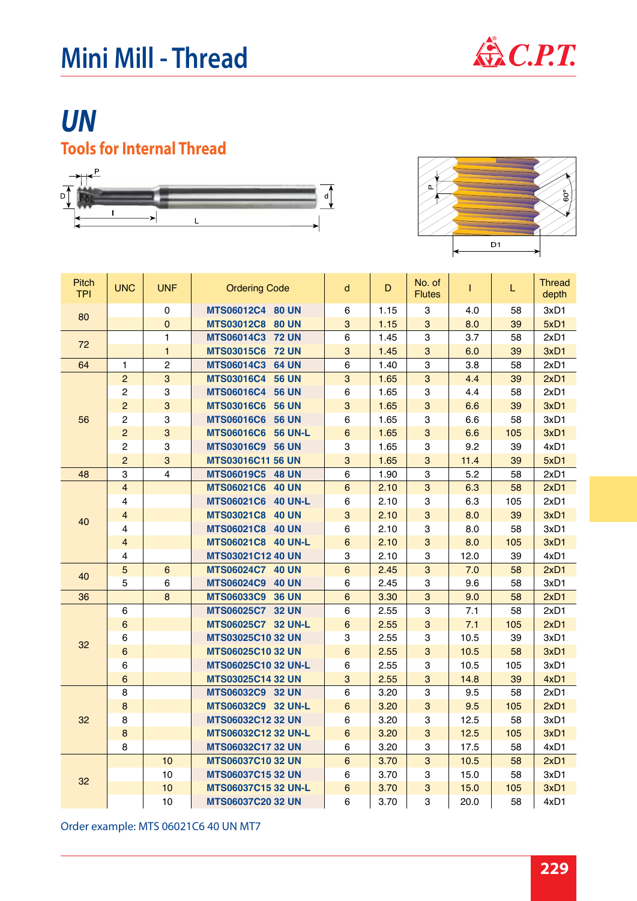

# *UN* **Tools for Internal Thread**





| <b>Pitch</b><br><b>TPI</b> | <b>UNC</b>       | <b>UNF</b>     | <b>Ordering Code</b>       | d                | D    | No. of<br><b>Flutes</b>   | T    | L.  | <b>Thread</b><br>depth |
|----------------------------|------------------|----------------|----------------------------|------------------|------|---------------------------|------|-----|------------------------|
| 80                         |                  | $\pmb{0}$      | MTS06012C4 80 UN           | 6                | 1.15 | 3                         | 4.0  | 58  | 3xD1                   |
|                            |                  | $\pmb{0}$      | MTS03012C8 80 UN           | 3                | 1.15 | 3                         | 8.0  | 39  | 5xD1                   |
| 72                         |                  | 1              | <b>MTS06014C3 72 UN</b>    | 6                | 1.45 | 3                         | 3.7  | 58  | 2xD1                   |
|                            |                  | $\mathbf{1}$   | MTS03015C6 72 UN           | 3                | 1.45 | 3                         | 6.0  | 39  | 3xD1                   |
| 64                         | $\mathbf{1}$     | $\overline{c}$ | <b>MTS06014C3 64 UN</b>    | 6                | 1.40 | $\mathsf 3$               | 3.8  | 58  | 2xD1                   |
|                            | $\overline{2}$   | 3              | MTS03016C4 56 UN           | 3                | 1.65 | $\overline{3}$            | 4.4  | 39  | 2xD1                   |
|                            | $\overline{c}$   | 3              | MTS06016C4 56 UN           | 6                | 1.65 | $\ensuremath{\mathsf{3}}$ | 4.4  | 58  | 2xD1                   |
|                            | $\overline{c}$   | 3              | <b>MTS03016C6 56 UN</b>    | 3                | 1.65 | $\mathbf{3}$              | 6.6  | 39  | 3xD1                   |
| 56                         | $\overline{2}$   | 3              | <b>MTS06016C6 56 UN</b>    | 6                | 1.65 | $\ensuremath{\mathsf{3}}$ | 6.6  | 58  | 3xD1                   |
|                            | $\overline{c}$   | 3              | <b>MTS06016C6 56 UN-L</b>  | $6\phantom{a}$   | 1.65 | $\overline{3}$            | 6.6  | 105 | 3xD1                   |
|                            | $\overline{c}$   | 3              | MTS03016C9 56 UN           | 3                | 1.65 | $\ensuremath{\mathsf{3}}$ | 9.2  | 39  | 4xD1                   |
|                            | $\overline{c}$   | 3              | <b>MTS03016C11 56 UN</b>   | 3                | 1.65 | 3                         | 11.4 | 39  | 5xD1                   |
| 48                         | 3                | 4              | MTS06019C5 48 UN           | 6                | 1.90 | $\mathsf 3$               | 5.2  | 58  | 2xD1                   |
|                            | $\overline{4}$   |                | MTS06021C6 40 UN           | $6\phantom{a}$   | 2.10 | $\mathbf{3}$              | 6.3  | 58  | 2xD1                   |
|                            | $\overline{4}$   |                | <b>MTS06021C6 40 UN-L</b>  | 6                | 2.10 | $\mathsf 3$               | 6.3  | 105 | 2xD1                   |
| 40                         | $\overline{4}$   |                | MTS03021C8 40 UN           | 3                | 2.10 | $\overline{3}$            | 8.0  | 39  | 3xD1                   |
|                            | 4                |                | MTS06021C8 40 UN           | 6                | 2.10 | $\ensuremath{\mathsf{3}}$ | 8.0  | 58  | 3xD1                   |
|                            | $\overline{4}$   |                | <b>MTS06021C8 40 UN-L</b>  | $6\phantom{a}$   | 2.10 | $\mathbf{3}$              | 8.0  | 105 | 3xD1                   |
|                            | 4                |                | MTS03021C12 40 UN          | 3                | 2.10 | 3                         | 12.0 | 39  | 4xD1                   |
| 40                         | $\overline{5}$   | $6\phantom{a}$ | MTS06024C7 40 UN           | $6\phantom{a}$   | 2.45 | $\mathbf{3}$              | 7.0  | 58  | 2xD1                   |
|                            | 5                | 6              | <b>MTS06024C9 40 UN</b>    | 6                | 2.45 | 3                         | 9.6  | 58  | 3xD1                   |
| 36                         |                  | 8              | MTS06033C9 36 UN           | 6                | 3.30 | 3                         | 9.0  | 58  | 2xD1                   |
|                            | 6                |                | MTS06025C7 32 UN           | 6                | 2.55 | $\,3$                     | 7.1  | 58  | 2xD1                   |
|                            | $\,6\,$          |                | MTS06025C7 32 UN-L         | 6                | 2.55 | $\mathbf{3}$              | 7.1  | 105 | 2xD1                   |
| 32                         | 6                |                | <b>MTS03025C10 32 UN</b>   | 3                | 2.55 | $\ensuremath{\mathsf{3}}$ | 10.5 | 39  | 3xD1                   |
|                            | $\,6\,$          |                | MTS06025C10 32 UN          | $6\phantom{a}$   | 2.55 | 3                         | 10.5 | 58  | 3xD1                   |
|                            | 6                |                | <b>MTS06025C10 32 UN-L</b> | 6                | 2.55 | 3                         | 10.5 | 105 | 3xD1                   |
|                            | $\,6$            |                | MTS03025C14 32 UN          | 3                | 2.55 | 3                         | 14.8 | 39  | 4xD1                   |
|                            | 8                |                | MTS06032C9 32 UN           | 6                | 3.20 | 3                         | 9.5  | 58  | 2xD1                   |
|                            | $\bf 8$          |                | MTS06032C9 32 UN-L         | $\boldsymbol{6}$ | 3.20 | $\mathbf{3}$              | 9.5  | 105 | 2xD1                   |
| 32                         | 8                |                | MTS06032C12 32 UN          | 6                | 3.20 | 3                         | 12.5 | 58  | 3xD1                   |
|                            | $\boldsymbol{8}$ |                | MTS06032C12 32 UN-L        | $6\phantom{a}$   | 3.20 | 3                         | 12.5 | 105 | 3xD1                   |
|                            | 8                |                | MTS06032C17 32 UN          | 6                | 3.20 | 3                         | 17.5 | 58  | 4xD1                   |
|                            |                  | 10             | <b>MTS06037C10 32 UN</b>   | $6\phantom{a}$   | 3.70 | $\overline{3}$            | 10.5 | 58  | 2xD1                   |
| 32                         |                  | 10             | <b>MTS06037C15 32 UN</b>   | 6                | 3.70 | $\ensuremath{\mathsf{3}}$ | 15.0 | 58  | 3xD1                   |
|                            |                  | 10             | <b>MTS06037C15 32 UN-L</b> | $6\phantom{a}$   | 3.70 | 3                         | 15.0 | 105 | 3xD1                   |
|                            |                  | 10             | <b>MTS06037C20 32 UN</b>   | 6                | 3.70 | 3                         | 20.0 | 58  | 4xD1                   |

Order example: MTS 06021C6 40 UN MT7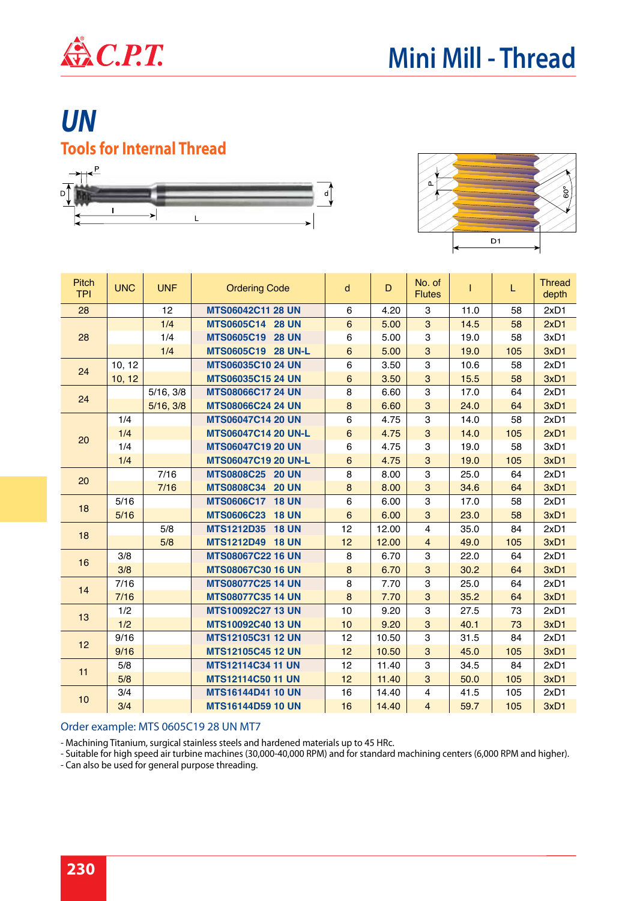

# *UN* **Tools for Internal Thread**





| <b>Pitch</b><br><b>TPI</b> | <b>UNC</b> | <b>UNF</b> | <b>Ordering Code</b>       | d               | D     | No. of<br><b>Flutes</b>   | I    | L   | <b>Thread</b><br>depth |
|----------------------------|------------|------------|----------------------------|-----------------|-------|---------------------------|------|-----|------------------------|
| 28                         |            | 12         | MTS06042C11 28 UN          | 6               | 4.20  | 3                         | 11.0 | 58  | 2xD1                   |
|                            |            | 1/4        | MTS0605C14 28 UN           | $6\phantom{a}$  | 5.00  | $\overline{3}$            | 14.5 | 58  | 2xD1                   |
| 28                         |            | 1/4        | MTS0605C19 28 UN           | 6               | 5.00  | $\ensuremath{\mathsf{3}}$ | 19.0 | 58  | 3xD1                   |
|                            |            | 1/4        | MTS0605C19 28 UN-L         | $6\phantom{.}6$ | 5.00  | 3                         | 19.0 | 105 | 3xD1                   |
| 24                         | 10, 12     |            | MTS06035C10 24 UN          | 6               | 3.50  | 3                         | 10.6 | 58  | 2xD1                   |
|                            | 10, 12     |            | <b>MTS06035C15 24 UN</b>   | $6\phantom{.}6$ | 3.50  | $\mathbf{3}$              | 15.5 | 58  | 3xD1                   |
| 24                         |            | 5/16, 3/8  | <b>MTS08066C17 24 UN</b>   | 8               | 6.60  | $\ensuremath{\mathsf{3}}$ | 17.0 | 64  | 2xD1                   |
|                            |            | 5/16, 3/8  | <b>MTS08066C24 24 UN</b>   | $\bf8$          | 6.60  | 3                         | 24.0 | 64  | 3xD1                   |
|                            | 1/4        |            | <b>MTS06047C14 20 UN</b>   | 6               | 4.75  | $\mathbf 3$               | 14.0 | 58  | 2xD1                   |
| 20                         | 1/4        |            | <b>MTS06047C14 20 UN-L</b> | $6\phantom{1}$  | 4.75  | $\mathbf{3}$              | 14.0 | 105 | 2xD1                   |
|                            | 1/4        |            | <b>MTS06047C19 20 UN</b>   | 6               | 4.75  | 3                         | 19.0 | 58  | 3xD1                   |
|                            | 1/4        |            | MTS06047C19 20 UN-L        | $6\phantom{a}$  | 4.75  | $\mathbf{3}$              | 19.0 | 105 | 3xD1                   |
| 20                         |            | 7/16       | MTS0808C25 20 UN           | 8               | 8.00  | 3                         | 25.0 | 64  | 2xD1                   |
|                            |            | $7/16$     | MTS0808C34 20 UN           | $\bf 8$         | 8.00  | $\mathbf{3}$              | 34.6 | 64  | 3xD1                   |
| 18                         | 5/16       |            | <b>MTS0606C17 18 UN</b>    | 6               | 6.00  | 3                         | 17.0 | 58  | 2xD1                   |
|                            | 5/16       |            | <b>MTS0606C23 18 UN</b>    | $6\phantom{1}$  | 6.00  | $\mathbf{3}$              | 23.0 | 58  | 3xD1                   |
| 18                         |            | 5/8        | MTS1212D35 18 UN           | 12              | 12.00 | $\overline{4}$            | 35.0 | 84  | 2xD1                   |
|                            |            | 5/8        | MTS1212D49 18 UN           | 12              | 12.00 | $\overline{4}$            | 49.0 | 105 | 3xD1                   |
| 16                         | 3/8        |            | MTS08067C22 16 UN          | 8               | 6.70  | 3                         | 22.0 | 64  | 2xD1                   |
|                            | 3/8        |            | <b>MTS08067C30 16 UN</b>   | 8               | 6.70  | 3                         | 30.2 | 64  | 3xD1                   |
| 14                         | 7/16       |            | <b>MTS08077C25 14 UN</b>   | 8               | 7.70  | 3                         | 25.0 | 64  | 2xD1                   |
|                            | $7/16$     |            | <b>MTS08077C35 14 UN</b>   | $\bf 8$         | 7.70  | $\ensuremath{\mathsf{3}}$ | 35.2 | 64  | 3xD1                   |
| 13                         | 1/2        |            | <b>MTS10092C27 13 UN</b>   | 10              | 9.20  | 3                         | 27.5 | 73  | 2xD1                   |
|                            | 1/2        |            | MTS10092C40 13 UN          | 10              | 9.20  | $\mathbf{3}$              | 40.1 | 73  | 3xD1                   |
| 12                         | 9/16       |            | MTS12105C31 12 UN          | 12              | 10.50 | 3                         | 31.5 | 84  | 2xD1                   |
|                            | 9/16       |            | MTS12105C45 12 UN          | 12              | 10.50 | $\mathbf{3}$              | 45.0 | 105 | 3xD1                   |
| 11                         | 5/8        |            | <b>MTS12114C34 11 UN</b>   | 12              | 11.40 | 3                         | 34.5 | 84  | 2xD1                   |
|                            | 5/8        |            | <b>MTS12114C50 11 UN</b>   | 12              | 11.40 | 3                         | 50.0 | 105 | 3xD1                   |
| 10                         | 3/4        |            | <b>MTS16144D41 10 UN</b>   | 16              | 14.40 | $\overline{4}$            | 41.5 | 105 | 2xD1                   |
|                            | 3/4        |            | <b>MTS16144D59 10 UN</b>   | 16              | 14.40 | $\overline{4}$            | 59.7 | 105 | 3xD1                   |

#### Order example: MTS 0605C19 28 UN MT7

- Machining Titanium, surgical stainless steels and hardened materials up to 45 HRc.

- Suitable for high speed air turbine machines (30,000-40,000 RPM) and for standard machining centers (6,000 RPM and higher).

- Can also be used for general purpose threading.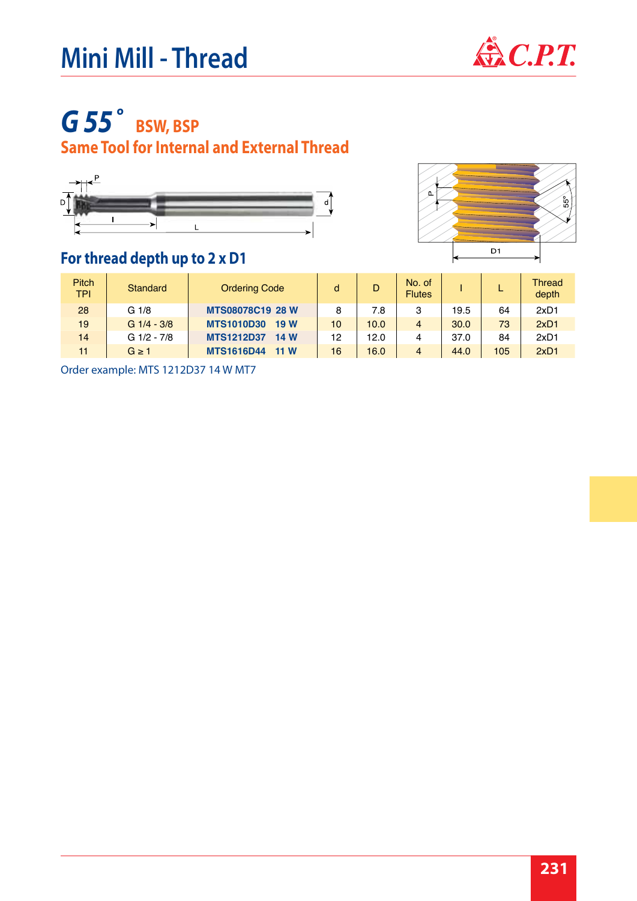# **Mini Mill - Thread**  $\bigoplus$  C.P.T.



# *G 55˚* **BSW, BSP**

### **Same Tool for Internal and External Thread**





#### **For thread depth up to 2 x D1**

| <b>Pitch</b><br><b>TPI</b> | <b>Standard</b>  | <b>Ordering Code</b>     | d  | D    | No. of<br><b>Flutes</b> |      |     | <b>Thread</b><br>depth |
|----------------------------|------------------|--------------------------|----|------|-------------------------|------|-----|------------------------|
| 28                         | G <sub>1/8</sub> | <b>MTS08078C19 28 W</b>  | 8  | 7.8  | 3                       | 19.5 | 64  | 2xD1                   |
| 19                         | $G$ 1/4 - 3/8    | <b>MTS1010D30</b><br>19W | 10 | 10.0 | $\overline{4}$          | 30.0 | 73  | 2xD1                   |
| 14                         | G 1/2 - 7/8      | <b>MTS1212D37</b><br>14W | 12 | 12.0 | 4                       | 37.0 | 84  | 2xD1                   |
| 11                         | $G \geq 1$       | <b>MTS1616D44</b><br>11W | 16 | 16.0 | $\overline{4}$          | 44.0 | 105 | 2xD1                   |

Order example: MTS 1212D37 14 W MT7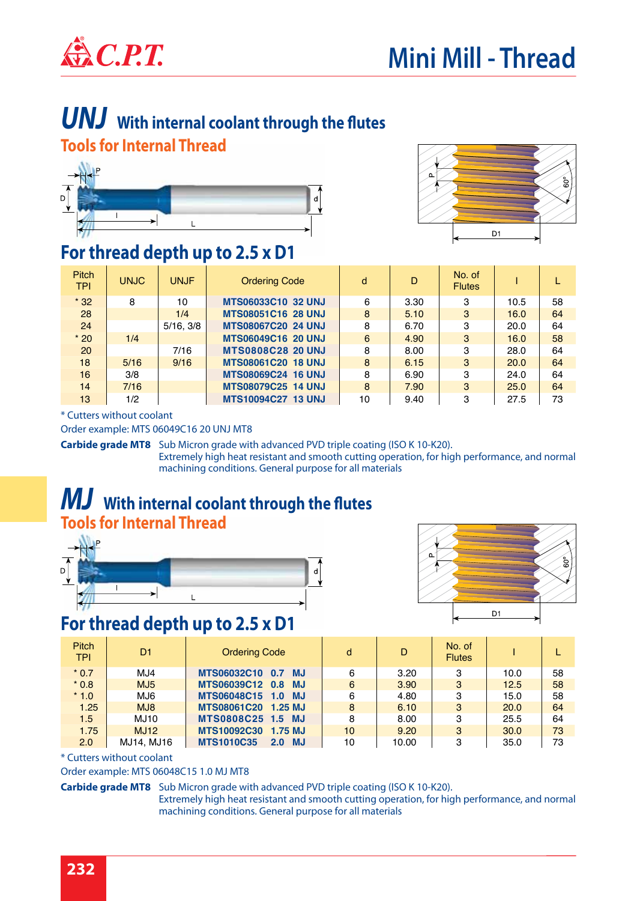

### *UNJ* **With internal coolant through the flutes Tools for Internal Thread**





#### **For thread depth up to 2.5 x D1**

| <b>Pitch</b><br><b>TPI</b> | <b>UNJC</b> | <b>UNJF</b> | <b>Ordering Code</b>      | d  | D    | No. of<br><b>Flutes</b> |      |    |
|----------------------------|-------------|-------------|---------------------------|----|------|-------------------------|------|----|
| $*32$                      | 8           | 10          | <b>MTS06033C10 32 UNJ</b> | 6  | 3.30 | з                       | 10.5 | 58 |
| 28                         |             | 1/4         | <b>MTS08051C16 28 UNJ</b> | 8  | 5.10 | 3                       | 16.0 | 64 |
| 24                         |             | 5/16, 3/8   | <b>MTS08067C20 24 UNJ</b> | 8  | 6.70 | з                       | 20.0 | 64 |
| $*20$                      | 1/4         |             | <b>MTS06049C16 20 UNJ</b> | 6  | 4.90 | 3                       | 16.0 | 58 |
| 20                         |             | 7/16        | <b>MTS0808C28 20 UNJ</b>  | 8  | 8.00 | З                       | 28.0 | 64 |
| 18                         | 5/16        | 9/16        | <b>MTS08061C20 18 UNJ</b> | 8  | 6.15 | 3                       | 20.0 | 64 |
| 16                         | 3/8         |             | <b>MTS08069C24 16 UNJ</b> | 8  | 6.90 | з                       | 24.0 | 64 |
| 14                         | 7/16        |             | <b>MTS08079C25 14 UNJ</b> | 8  | 7.90 | 3                       | 25.0 | 64 |
| 13                         | 1/2         |             | <b>MTS10094C27 13 UNJ</b> | 10 | 9.40 | З                       | 27.5 | 73 |

\* Cutters without coolant

Order example: MTS 06049C16 20 UNJ MT8

Carbide grade MT8 Sub Micron grade with advanced PVD triple coating (ISO K 10-K20).

Extremely high heat resistant and smooth cutting operation, for high performance, and normal machining conditions. General purpose for all materials

#### *MJ* **With internal coolant through the flutes Tools for Internal Thread**





#### **For thread depth up to 2.5 x D1**

| Pitch<br><b>TPI</b> | D1              | <b>Ordering Code</b>                      | d  | D     | No. of<br><b>Flutes</b> |      |    |
|---------------------|-----------------|-------------------------------------------|----|-------|-------------------------|------|----|
| $*0.7$              | MJ4             | MTS06032C10 0.7 MJ                        | 6  | 3.20  | 3                       | 10.0 | 58 |
| $*0.8$              | MJ <sub>5</sub> | MTS06039C12 0.8 MJ                        | 6  | 3.90  | 3                       | 12.5 | 58 |
| $*1.0$              | MJ6             | MTS06048C15 1.0<br>- MJ                   | 6  | 4.80  | з                       | 15.0 | 58 |
| 1.25                | MJ <sub>8</sub> | MTS08061C20 1.25 MJ                       | 8  | 6.10  | 3                       | 20.0 | 64 |
| 1.5                 | <b>MJ10</b>     | MTS0808C25 1.5 MJ                         | 8  | 8.00  | з                       | 25.5 | 64 |
| 1.75                | <b>MJ12</b>     | MTS10092C30 1.75 MJ                       | 10 | 9.20  | 3                       | 30.0 | 73 |
| 2.0                 | MJ14. MJ16      | <b>MTS1010C35</b><br>MJ.<br>$2.0^{\circ}$ | 10 | 10.00 | З                       | 35.0 | 73 |



\* Cutters without coolant

Order example: MTS 06048C15 1.0 MJ MT8

#### Carbide grade MT8 Sub Micron grade with advanced PVD triple coating (ISO K 10-K20). Extremely high heat resistant and smooth cutting operation, for high performance, and normal machining conditions. General purpose for all materials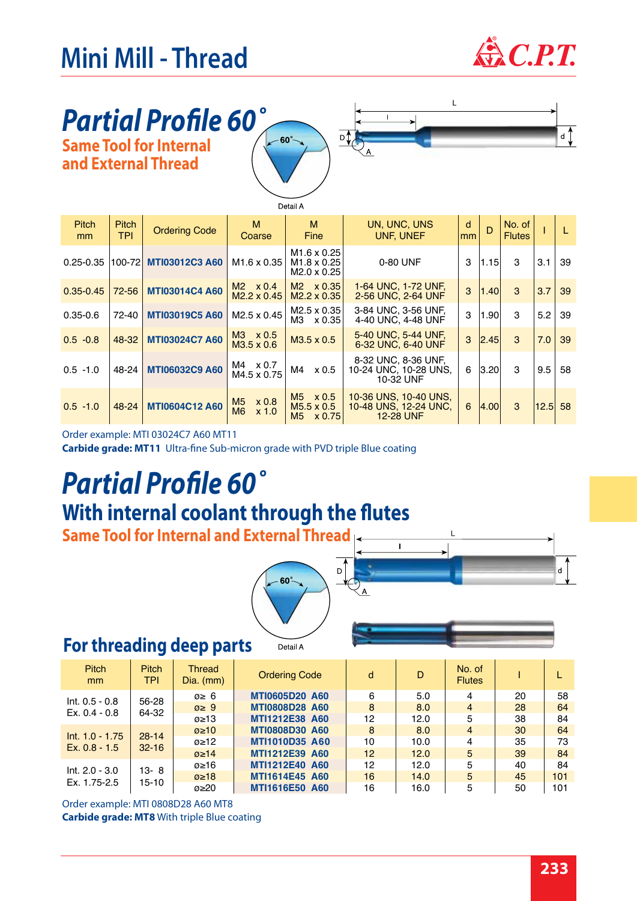# **Mini Mill - Thread**  $\bigotimes$  *C.P.T.*



### *Partial Profile 60˚* **Same Tool for Internal and External Thread**





|                    | Detail A                   |                       |                                                             |                                                                          |                                                                    |                     |              |                         |      |    |  |  |
|--------------------|----------------------------|-----------------------|-------------------------------------------------------------|--------------------------------------------------------------------------|--------------------------------------------------------------------|---------------------|--------------|-------------------------|------|----|--|--|
| <b>Pitch</b><br>mm | <b>Pitch</b><br><b>TPI</b> | <b>Ordering Code</b>  | M<br>Coarse                                                 | м<br>Fine                                                                | UN, UNC, UNS<br><b>UNF, UNEF</b>                                   | d<br>m <sub>m</sub> | $\mathsf{D}$ | No. of<br><b>Flutes</b> |      | L  |  |  |
| $0.25 - 0.35$      | 100-72                     | <b>MTI03012C3 A60</b> | M <sub>1.6</sub> x 0.35                                     | M <sub>1.6</sub> x 0.25<br>M <sub>1.8</sub> x 0.25<br>$M2.0 \times 0.25$ | 0-80 UNF                                                           | 3                   | 1.15         | 3                       | 3.1  | 39 |  |  |
| $0.35 - 0.45$      | $72 - 56$                  | <b>MTI03014C4 A60</b> | $M2 \times 0.4$<br>$M2.2 \times 0.45$                       | $M2 \times 0.35$<br>$M2.2 \times 0.35$                                   | 1-64 UNC, 1-72 UNF,<br>2-56 UNC, 2-64 UNF                          | 3                   | 1.40         | 3                       | 3.7  | 39 |  |  |
| $0.35 - 0.6$       | 72-40                      | <b>MTI03019C5 A60</b> | $M2.5 \times 0.45$                                          | $M2.5 \times 0.35$<br>M3 x 0.35                                          | 3-84 UNC, 3-56 UNF.<br>4-40 UNC, 4-48 UNF                          | 3                   | 1.90         | 3                       | 5.2  | 39 |  |  |
| $0.5 - 0.8$        | 48-32                      | <b>MTI03024C7 A60</b> | $M3 \times 0.5$<br>$M3.5 \times 0.6$                        | M3.5 x 0.5                                                               | 5-40 UNC, 5-44 UNF,<br>6-32 UNC, 6-40 UNF                          | 3                   | 2.45         | 3                       | 7.0  | 39 |  |  |
| $0.5 - 1.0$        | 48-24                      | <b>MTI06032C9 A60</b> | $M4 \times 0.7$<br>M4.5 x 0.75                              | x 0.5<br>M4                                                              | 8-32 UNC, 8-36 UNF,<br>10-24 UNC, 10-28 UNS,<br>10-32 UNF          | 6                   | 3.20         | 3                       | 9.5  | 58 |  |  |
| $0.5 - 1.0$        | 48-24                      | <b>MTI0604C12 A60</b> | M <sub>5</sub><br>$\times 0.8$<br>M <sub>6</sub><br>$x$ 1.0 | $M5 \times 0.5$<br>$M5.5 \times 0.5$<br>M <sub>5</sub><br>x 0.75         | 10-36 UNS, 10-40 UNS,<br>10-48 UNS, 12-24 UNC,<br><b>12-28 UNF</b> | 6                   | 4.00         | 3                       | 12.5 | 58 |  |  |

Order example: MTI 03024C7 A60 MT11

**Carbide grade: MT11** Ultra-fine Sub-micron grade with PVD triple Blue coating

# *Partial Profile 60˚* **With internal coolant through the flutes**

**Same Tool for Internal and External Thread**



Detail A

#### **For threading deep parts**

| <b>Pitch</b><br><sub>mm</sub>    | <b>Pitch</b><br><b>TPI</b> | Thread<br>$Dia.$ (mm) | <b>Ordering Code</b>  | d  | D    | No. of<br><b>Flutes</b> |    |     |
|----------------------------------|----------------------------|-----------------------|-----------------------|----|------|-------------------------|----|-----|
| $Int. 0.5 - 0.8$                 | 56-28                      | $\varnothing$ ≥ 6     | <b>MTI0605D20 A60</b> | 6  | 5.0  | 4                       | 20 | 58  |
| $Ex. 0.4 - 0.8$                  | 64-32                      | $\varnothing \geq 9$  | <b>MTI0808D28 A60</b> | 8  | 8.0  | $\overline{4}$          | 28 | 64  |
|                                  |                            | $\varnothing \geq 13$ | MTI1212E38 A60        | 12 | 12.0 | 5                       | 38 | 84  |
| $Int. 1.0 - 1.75$                | $28 - 14$<br>$32 - 16$     | $\mathcal{Q}$ ≥10     | <b>MTI0808D30 A60</b> | 8  | 8.0  | $\overline{4}$          | 30 | 64  |
| Ex. $0.8 - 1.5$                  |                            | ø≥12                  | <b>MTI1010D35 A60</b> | 10 | 10.0 | 4                       | 35 | 73  |
|                                  |                            | $\mathcal{Q} \geq 14$ | MTI1212E39 A60        | 12 | 12.0 | 5                       | 39 | 84  |
| $Int. 2.0 - 3.0$<br>Ex. 1.75-2.5 | $13 - 8$                   | ø≥16                  | MTI1212E40 A60        | 12 | 12.0 | 5                       | 40 | 84  |
|                                  |                            | $\varnothing$ ≥18     | MTI1614E45 A60        | 16 | 14.0 | 5                       | 45 | 101 |
|                                  | 15-10                      | $\mathcal{Q} \geq 20$ | <b>MTI1616E50 A60</b> | 16 | 16.0 | 5                       | 50 | 101 |

**Carbide grade: MT8** With triple Blue coating Order example: MTI 0808D28 A60 MT8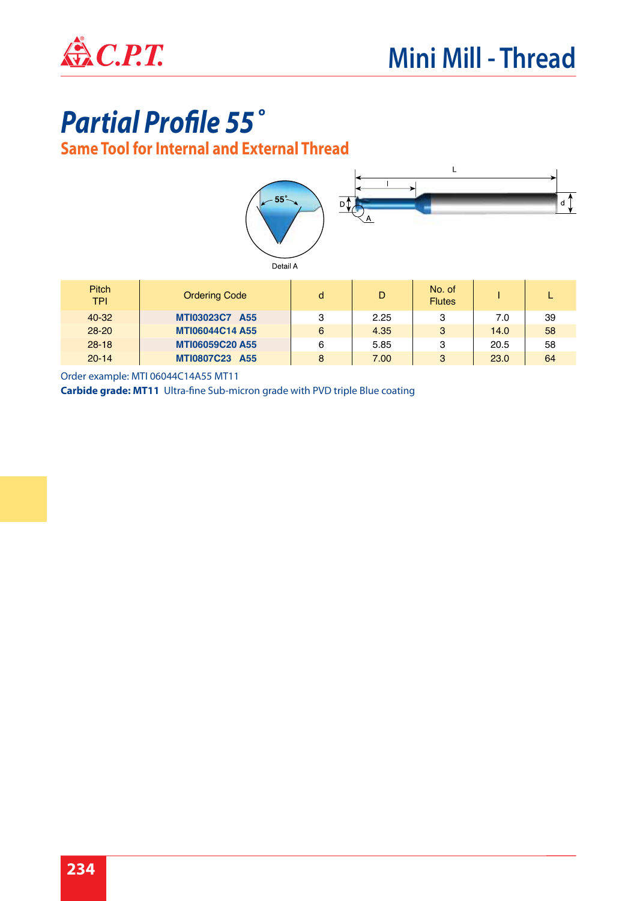

# *Partial Profile 55˚*

**Same Tool for Internal and External Thread**



Order example: MTI 06044C14A55 MT11

**Carbide grade: MT11** Ultra-fine Sub-micron grade with PVD triple Blue coating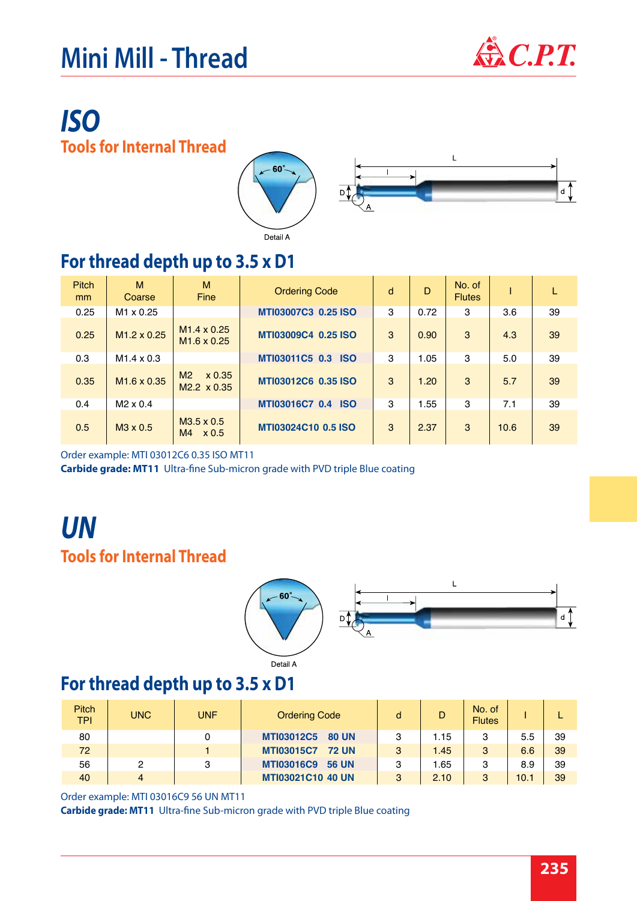# **Mini Mill - Thread**  $\mathbf{\hat{\mathbb{Z}}}$  C.P.T.



 $d^{\uparrow}$ 

## *ISO* **Tools for Internal Thread**



### **For thread depth up to 3.5 x D1**

| <b>Pitch</b><br>mm | M<br>Coarse        | M<br>Fine                                      | <b>Ordering Code</b>         | d | D    | No. of<br><b>Flutes</b> |      | L  |
|--------------------|--------------------|------------------------------------------------|------------------------------|---|------|-------------------------|------|----|
| 0.25               | $M1 \times 0.25$   |                                                | MTI03007C3 0.25 ISO          | 3 | 0.72 | 3                       | 3.6  | 39 |
| 0.25               | $M1.2 \times 0.25$ | $M1.4 \times 0.25$<br>$M1.6 \times 0.25$       | MTI03009C4 0.25 ISO          | 3 | 0.90 | 3                       | 4.3  | 39 |
| 0.3                | $M1.4 \times 0.3$  |                                                | MTI03011C5 0.3 ISO           | 3 | 1.05 | 3                       | 5.0  | 39 |
| 0.35               | $M1.6 \times 0.35$ | M <sub>2</sub><br>x 0.35<br>$M2.2 \times 0.35$ | MTI03012C6 0.35 ISO          | 3 | 1.20 | 3                       | 5.7  | 39 |
| 0.4                | $M2 \times 0.4$    |                                                | MTI03016C7 0.4<br><b>ISO</b> | 3 | 1.55 | 3                       | 7.1  | 39 |
| 0.5                | $M3 \times 0.5$    | $M3.5 \times 0.5$<br>M4<br>$\times 0.5$        | MTI03024C10 0.5 ISO          | 3 | 2.37 | 3                       | 10.6 | 39 |

Order example: MTI 03012C6 0.35 ISO MT11

**Carbide grade: MT11** Ultra-fine Sub-micron grade with PVD triple Blue coating

## *UN* **Tools for Internal Thread**



#### Detail A

### **For thread depth up to 3.5 x D1**

| <b>Pitch</b><br><b>TPI</b> | UNC. | UNF/ | <b>Ordering Code</b>              |   | D    | No. of<br><b>Flutes</b> |      |    |
|----------------------------|------|------|-----------------------------------|---|------|-------------------------|------|----|
| 80                         |      |      | <b>MTI03012C5</b><br><b>80 UN</b> |   | 1.15 | 3                       | 5.5  | 39 |
| 72                         |      |      | <b>MTI03015C7</b><br><b>72 UN</b> | 3 | 1.45 | 3                       | 6.6  | 39 |
| 56                         | っ    | 3    | <b>MTI03016C9</b><br><b>56 UN</b> | 3 | .65  | 3                       | 8.9  | 39 |
| 40                         | 4    |      | <b>MTI03021C10 40 UN</b>          | 3 | 2.10 | 3                       | 10.1 | 39 |

#### Order example: MTI 03016C9 56 UN MT11

**Carbide grade: MT11** Ultra-fine Sub-micron grade with PVD triple Blue coating